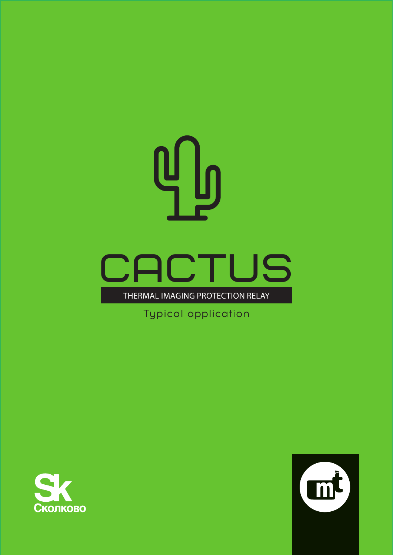

Typical application



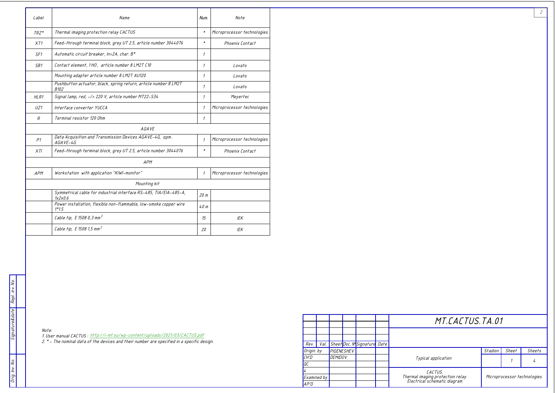|                                        | Note<br>Label<br>Name<br>Num.                                                         |                                                                                             |                             |                             |  |  |  |  |  |
|----------------------------------------|---------------------------------------------------------------------------------------|---------------------------------------------------------------------------------------------|-----------------------------|-----------------------------|--|--|--|--|--|
|                                        | *   Microprocessor technologies<br>Thermal imaging protection relay CACTUS<br>$TRZ^*$ |                                                                                             |                             |                             |  |  |  |  |  |
|                                        | XT1                                                                                   | Feed-through terminal block, grey UT 2.5, article number 3044076                            | $\boldsymbol{\ast}$         | Phoenix Contact             |  |  |  |  |  |
|                                        | SF1                                                                                   | Automatic circuit breaker, In=2A, char. B*                                                  | $\overline{1}$              |                             |  |  |  |  |  |
|                                        | SB1                                                                                   | Contact element, 1HO, article number 8 LM2T C10<br>Lovato                                   |                             |                             |  |  |  |  |  |
|                                        |                                                                                       | Mounting adapter article number 8 LM2T AU120                                                |                             | Lovato                      |  |  |  |  |  |
|                                        |                                                                                       | Pushbutton actuator, black, spring return, article number 8 LM2T<br>B <sub>102</sub>        |                             | Lovato                      |  |  |  |  |  |
|                                        | HLR1                                                                                  | Signal lamp, red, ~/= 220 V, article number MT22-S34                                        |                             | Meyertec                    |  |  |  |  |  |
|                                        | UZ1                                                                                   | Interface converter YUCCA                                                                   |                             | Microprocessor technologies |  |  |  |  |  |
| $R_{\rm}$<br>Terminal resistor 120 Ohm |                                                                                       |                                                                                             |                             |                             |  |  |  |  |  |
|                                        | AGAVE                                                                                 |                                                                                             |                             |                             |  |  |  |  |  |
|                                        | P1                                                                                    | Data Acquisition and Transmission Devices AGAVE-4G, apm.<br>$AGAVE-4G$                      | Microprocessor technologies |                             |  |  |  |  |  |
|                                        | XTI                                                                                   | Feed-through terminal block, grey UT 2.5, article number 3044076                            | $\boldsymbol{\ast}$         | Phoenix Contact             |  |  |  |  |  |
|                                        |                                                                                       | APM                                                                                         |                             |                             |  |  |  |  |  |
|                                        | APM                                                                                   | Workstation with application "KIWI-monitor"                                                 | $\mathcal{I}$               | Microprocessor technologies |  |  |  |  |  |
|                                        |                                                                                       | Mounting kit                                                                                |                             |                             |  |  |  |  |  |
|                                        |                                                                                       | Symmetrical cable for industrial interface RS-485, TIA/EIA-485-A,<br>1x2x0.6                | 20 m                        |                             |  |  |  |  |  |
|                                        |                                                                                       | Power installation, flexible non-flammable, low-smoke copper wire<br>$1*1.5$                | 40 m                        |                             |  |  |  |  |  |
|                                        |                                                                                       | Cable tip, E 1508 0,3 mm <sup>2</sup>                                                       | 15 <sup>15</sup>            | IEK                         |  |  |  |  |  |
|                                        |                                                                                       | Cable tip, E 1508 1,5 mm <sup>2</sup>                                                       | 20                          | IEK                         |  |  |  |  |  |
|                                        |                                                                                       |                                                                                             |                             |                             |  |  |  |  |  |
|                                        | Note:                                                                                 |                                                                                             |                             |                             |  |  |  |  |  |
| Signature&date                         |                                                                                       | 1. User manual CACTUS : http://i-mt.su/wp-content/uploads/2021/03/CACTUS.pdf                |                             |                             |  |  |  |  |  |
|                                        |                                                                                       | 2. * - The nominal data of the devices and their number are specified in a specific design. |                             |                             |  |  |  |  |  |
|                                        |                                                                                       |                                                                                             |                             |                             |  |  |  |  |  |
|                                        |                                                                                       |                                                                                             |                             |                             |  |  |  |  |  |
|                                        |                                                                                       |                                                                                             |                             |                             |  |  |  |  |  |

|                 |      |                |  |                                | MT.CACTUS.TA.01                                                   |                             |       |        |  |  |
|-----------------|------|----------------|--|--------------------------------|-------------------------------------------------------------------|-----------------------------|-------|--------|--|--|
|                 |      |                |  |                                |                                                                   |                             |       |        |  |  |
| Rev.            | Val. |                |  | Sheet Doc. N' Signature Date I |                                                                   |                             |       |        |  |  |
| Origin. by      |      | PIGENESHEV     |  |                                |                                                                   | Stadion                     | Sheet | Sheets |  |  |
| CH'D            |      | <b>DEMIDOV</b> |  |                                | Typical application                                               |                             |       |        |  |  |
| $\overline{ac}$ |      |                |  |                                |                                                                   |                             |       |        |  |  |
| l4              |      |                |  |                                | CACTUS.                                                           |                             |       |        |  |  |
| Examined by     |      |                |  |                                | Thermal imaging protection relay.<br>Electrical schematic diagram | Microprocessor technologies |       |        |  |  |
| AP'D            |      |                |  |                                |                                                                   |                             |       |        |  |  |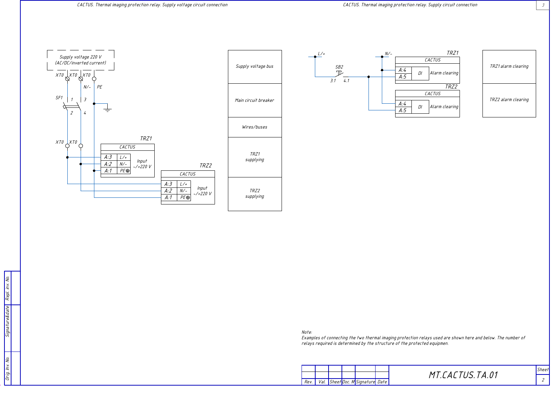





Note:

......<br>Examples of connecting the two thermal imaging protection relays used are shown here and below. The number of<br>relays required is determined by the structure of the protected equipmen.







TRZ1 alarm clearing

TRZ2 alarm clearing

MT.CACTUS.TA.01

Sheet  $\overline{z}$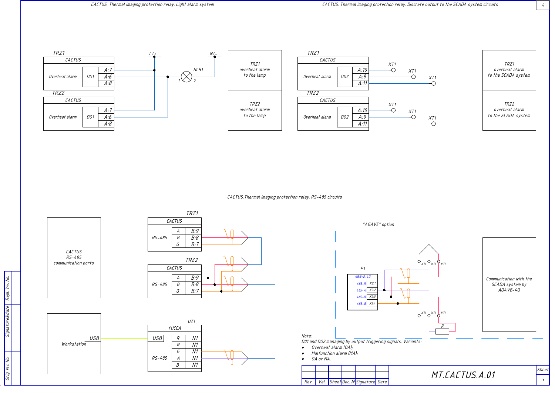

CACTUS. Thermal imaging protection relay. RS-485 circuits



 $\frac{1}{4}$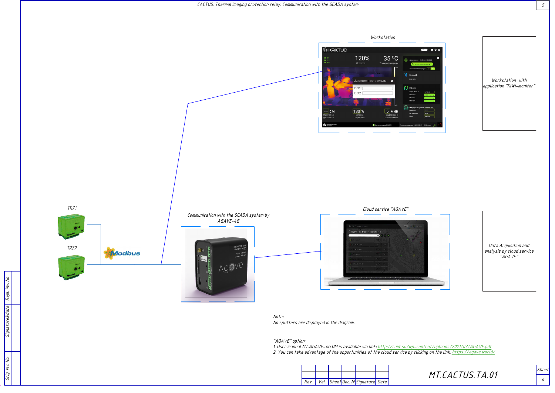

Note: No splitters are displayed in the diagram.

"AGAVE" option:

1. User manual MT.AGAVE-4G.UM is avaliable via link: <u>http://i-mt.su/wp-content/uploads/2021/03/AGAVE.pdf</u><br>2. You can take advantage of the opportunities of the cloud service by clicking on the link: <u>https://agave.world/</u>





Data Acquisition and<br>analysis by cloud service<br>"AGAVE"

MT.CACTUS.TA.01

 $\mathfrak{s}$ 

Sheet